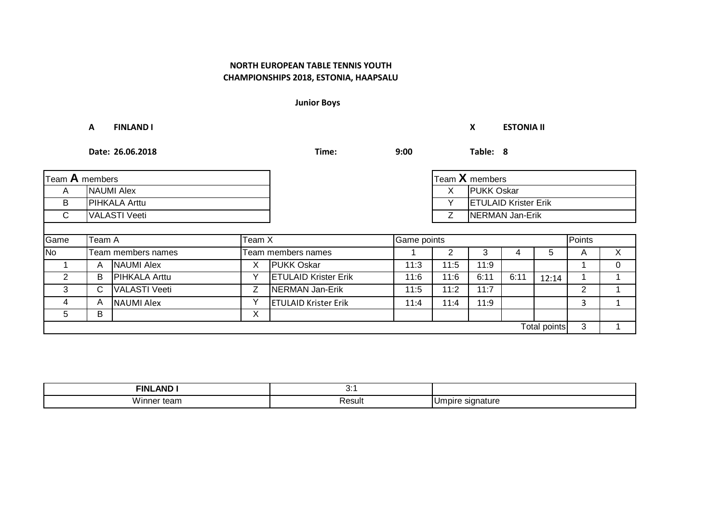**Junior Boys**

|                | Α                    | <b>FINLAND I</b>     |        |                             | X           | <b>ESTONIA II</b> |                             |      |              |                |              |
|----------------|----------------------|----------------------|--------|-----------------------------|-------------|-------------------|-----------------------------|------|--------------|----------------|--------------|
|                | Date: 26.06.2018     |                      |        | Time:                       | 9:00        |                   | Table: 8                    |      |              |                |              |
| Team A members |                      |                      |        |                             |             |                   | Team $X$ members            |      |              |                |              |
| A              |                      | <b>NAUMI Alex</b>    |        |                             | X           | <b>PUKK Oskar</b> |                             |      |              |                |              |
| B              | PIHKALA Arttu        |                      |        |                             |             | Y                 | <b>ETULAID Krister Erik</b> |      |              |                |              |
| C.             | <b>VALASTI Veeti</b> |                      |        |                             |             | Z                 | NERMAN Jan-Erik             |      |              |                |              |
| Game           | Team A               |                      | Team X |                             | Game points |                   |                             |      |              | Points         |              |
| <b>No</b>      |                      | Team members names   |        | <b>Team members names</b>   |             | $\overline{2}$    | 3                           | 4    | 5            | A              | $\mathsf{X}$ |
|                | A                    | <b>NAUMI Alex</b>    | X      | <b>PUKK Oskar</b>           | 11:3        | 11:5              | 11:9                        |      |              |                | $\Omega$     |
| 2              | B                    | <b>PIHKALA Arttu</b> | ٧      | <b>ETULAID Krister Erik</b> | 11:6        | 11:6              | 6:11                        | 6:11 | 12:14        |                |              |
| 3              | C                    | <b>VALASTI Veeti</b> | Z      | NERMAN Jan-Erik             | 11:5        | 11:2              | 11:7                        |      |              | $\overline{2}$ |              |
| 4              | A                    | <b>NAUMI Alex</b>    | Y      | <b>ETULAID Krister Erik</b> | 11:4        | 11:4              | 11:9                        |      |              | 3              | $\mathbf{1}$ |
| 5              | В                    |                      | X      |                             |             |                   |                             |      |              |                |              |
|                |                      |                      |        |                             |             |                   |                             |      | Total points | 3              |              |

| $\sim$ $\sim$ $\sim$<br>FINI<br>ΔNΙ | v.          |               |
|-------------------------------------|-------------|---------------|
| <br>VII<br>ισαιι<br>. .             | _<br>Resul. | าatur<br>ווסו |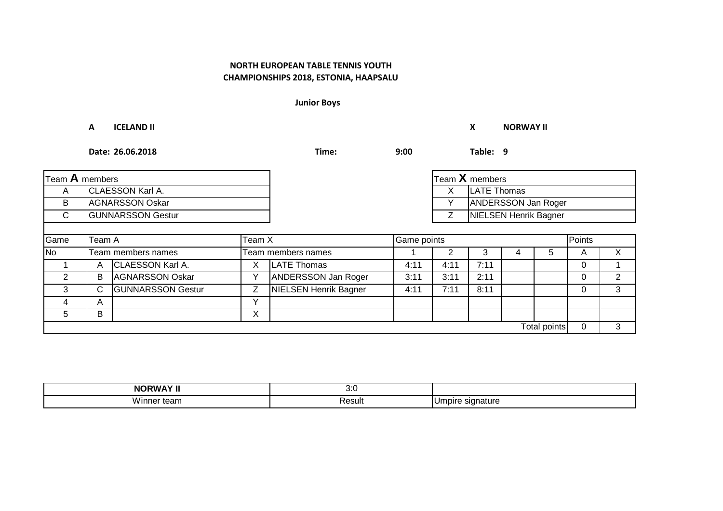**Junior Boys**

**A ICELAND II X NORWAY II Date: 26.06.2018 Time: 9:00 Table: 9** A X CLAESSON Karl A. LATE Thomas B AGNARSSON Oskar Y C GUNNARSSON Gestur **CONTACT STATE** Game No 1 2 3 4 5 A X Team members names Team members names 1 CLAESSON Karl A. X 4:11 4:11 7:11 0 1 A LATE Thomas 2 | B |AGNARSSON Oskar | Y |ANDERSSON Jan Roger | 3:11 | 2:11 | | 0 | 2 3 GUNNARSSON Gestur Z 4:11 7:11 8:11 0 3 C NIELSEN Henrik Bagner 4 | A | V 5 | B | X 0 3 Team **A** members Team **X** members Team **X** members Team **X** members Team **X** members Team **X** Team **X** members Team **X** Team **X** Team **X** Team **X** Team **X** Team **X** Team **X** Team **X** Team **X** Team **X** Team **X** Team **X** Tea ANDERSSON Jan Roger **NIELSEN Henrik Bagner** Team A Team X Game points Points A  $\overline{B}$ Total points

| . .                | v.v    |                  |
|--------------------|--------|------------------|
| <br>vinne<br>.earr | Result | າatur<br>٦r<br>ັ |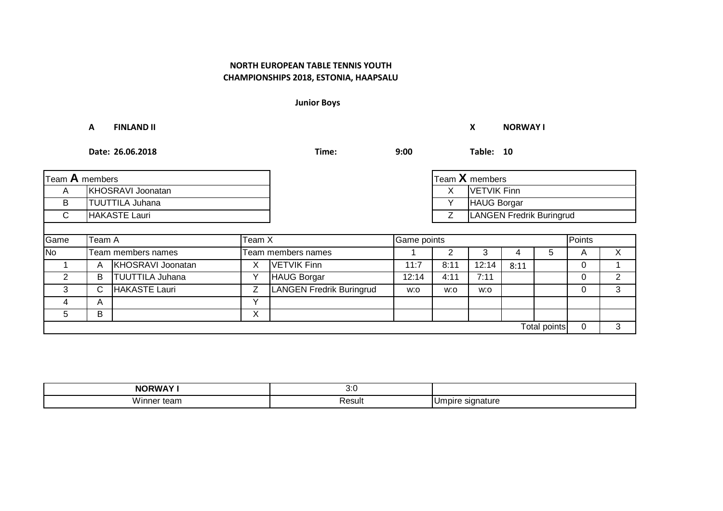**Junior Boys**

|                | A                      | <b>FINLAND II</b>        |        |                                 |             |           | X              | <b>NORWAY I</b>          |                     |          |                |  |
|----------------|------------------------|--------------------------|--------|---------------------------------|-------------|-----------|----------------|--------------------------|---------------------|----------|----------------|--|
|                |                        | Date: 26.06.2018         | Time:  | 9:00                            |             | Table: 10 |                |                          |                     |          |                |  |
| Team A members |                        |                          |        |                                 |             |           | Team X members |                          |                     |          |                |  |
| A              |                        | <b>KHOSRAVI Joonatan</b> |        |                                 |             | X         | VETVIK Finn    |                          |                     |          |                |  |
| B              | <b>TUUTTILA Juhana</b> |                          |        |                                 |             | Υ         | HAUG Borgar    |                          |                     |          |                |  |
| $\mathsf{C}$   | <b>HAKASTE Lauri</b>   |                          |        |                                 |             | Z         |                | LANGEN Fredrik Buringrud |                     |          |                |  |
|                |                        |                          |        |                                 |             |           |                |                          |                     |          |                |  |
| Game           | Team A                 |                          | Team X |                                 | Game points |           |                |                          |                     | Points   |                |  |
| <b>No</b>      |                        | Team members names       |        | Team members names              |             | 2         | 3              | 4                        | 5                   | A        | X              |  |
|                | A                      | KHOSRAVI Joonatan        | X      | <b>VETVIK Finn</b>              | 11:7        | 8:11      | 12:14          | 8:11                     |                     | 0        |                |  |
| $\overline{2}$ | B                      | <b>TUUTTILA Juhana</b>   | Υ      | HAUG Borgar                     | 12:14       | 4:11      | 7:11           |                          |                     | $\Omega$ | $\overline{2}$ |  |
| 3              | C.                     | HAKASTE Lauri            | Z      | <b>LANGEN Fredrik Buringrud</b> | w:o         | w:o       | w:o            |                          |                     | 0        | 3              |  |
| 4              | A                      |                          | Y      |                                 |             |           |                |                          |                     |          |                |  |
| 5              | В                      |                          | X      |                                 |             |           |                |                          |                     |          |                |  |
|                |                        |                          |        |                                 |             |           |                |                          | <b>Total points</b> | 0        | 3              |  |

| <b>NORWAY!</b> | .<br>v.J    |                                        |
|----------------|-------------|----------------------------------------|
| <br>.<br>.     | _<br>Resul. | u m<br>าature<br>'''''<br>ັ<br>$\cdot$ |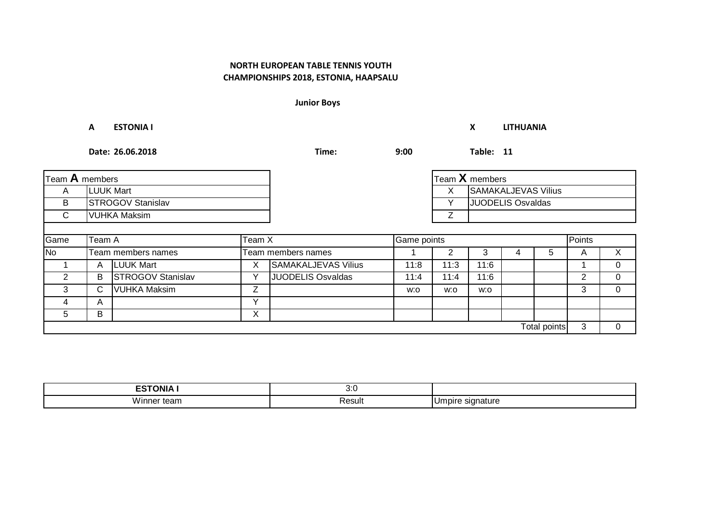**Junior Boys**

**A ESTONIA I X LITHUANIA**

|              | Team $A$ members         |                          |              |                          |      |      | Team X members           |  |              |        |          |
|--------------|--------------------------|--------------------------|--------------|--------------------------|------|------|--------------------------|--|--------------|--------|----------|
| A            | <b>LUUK Mart</b>         |                          |              |                          |      | Χ    | SAMAKALJEVAS Vilius      |  |              |        |          |
| B            | <b>STROGOV Stanislav</b> |                          |              |                          |      | ✓    | <b>JUODELIS Osvaldas</b> |  |              |        |          |
| $\mathsf{C}$ | <b>VUHKA Maksim</b>      |                          |              |                          |      |      |                          |  |              |        |          |
|              |                          |                          |              |                          |      |      |                          |  |              |        |          |
| Game         | Team X<br>Team A         |                          |              | Game points              |      |      |                          |  |              | Points |          |
| No           |                          | Team members names       |              | Team members names       |      |      | ۰.                       |  | 5.           | A      | X.       |
|              | A                        | <b>LUUK Mart</b>         | X            | SAMAKALJEVAS Vilius      | 11:8 | 11:3 | 11:6                     |  |              |        | $\Omega$ |
| 2            | B                        | <b>STROGOV Stanislav</b> | $\checkmark$ | <b>JUODELIS Osvaldas</b> | 11:4 | 11:4 | 11:6                     |  |              | 2      | $\Omega$ |
| 3            | C.                       | <b>VUHKA Maksim</b>      | Ζ            |                          | w:o  | w:o  | w:o                      |  |              | 3      | $\Omega$ |
| 4            | A                        |                          | $\checkmark$ |                          |      |      |                          |  |              |        |          |
| 5            | В                        |                          | X            |                          |      |      |                          |  |              |        |          |
|              |                          |                          |              |                          |      |      |                          |  | Total points | 3      | $\Omega$ |

| <b>ESTONIA I</b>                 | 7. r<br>v.v |                    |
|----------------------------------|-------------|--------------------|
| <b>1 A / :</b><br>Winner<br>tean | Result      | ınature<br>, ndire |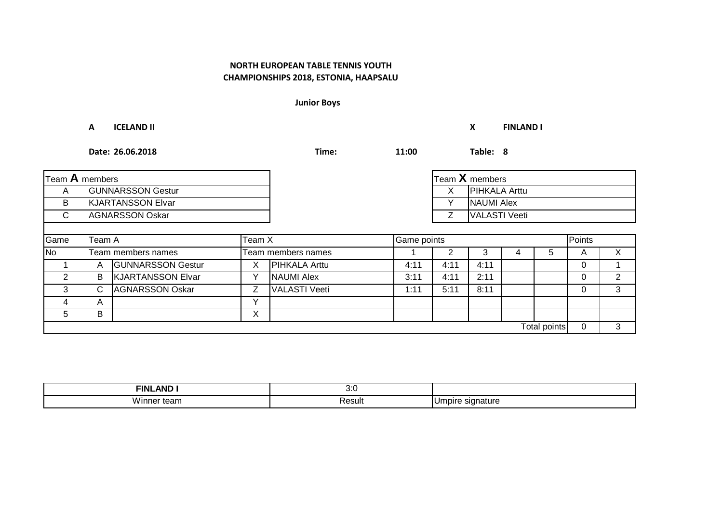**Junior Boys**

**A ICELAND II X FINLAND I**

| Team A members |                          |                          |   |                      |      | Team X members |                      |   |              |          |   |
|----------------|--------------------------|--------------------------|---|----------------------|------|----------------|----------------------|---|--------------|----------|---|
| A              |                          | <b>GUNNARSSON Gestur</b> |   |                      |      | X              | <b>PIHKALA Arttu</b> |   |              |          |   |
| B              | <b>KJARTANSSON Elvar</b> |                          |   |                      |      | $\checkmark$   | <b>NAUMI Alex</b>    |   |              |          |   |
| $\mathsf{C}$   | <b>AGNARSSON Oskar</b>   |                          |   |                      |      | Ζ              | <b>VALASTI Veeti</b> |   |              |          |   |
|                |                          |                          |   |                      |      |                |                      |   |              |          |   |
| Game           | Team X<br>Team A         |                          |   | Game points          |      |                |                      |   |              | Points   |   |
| <b>No</b>      |                          | Team members names       |   | Team members names   |      |                | 3                    | 4 | 5            | A        | Χ |
|                | A                        | <b>GUNNARSSON Gestur</b> | Х | <b>PIHKALA Arttu</b> | 4:11 | 4:11           | 4:11                 |   |              | 0        |   |
| 2              | В                        | <b>KJARTANSSON Elvar</b> |   | <b>NAUMI Alex</b>    | 3:11 | 4:11           | 2:11                 |   |              | 0        | 2 |
| 3              | C.                       | <b>AGNARSSON Oskar</b>   | Z | <b>VALASTI Veeti</b> | 1:11 | 5:11           | 8:11                 |   |              | $\Omega$ | 3 |
| 4              | A                        |                          | v |                      |      |                |                      |   |              |          |   |
| 5              | В                        |                          | Х |                      |      |                |                      |   |              |          |   |
|                |                          |                          |   |                      |      |                |                      |   | Total points | 0        | 3 |

| <b>AND</b><br><b>FINL</b> | <b></b><br>v.v |                        |
|---------------------------|----------------|------------------------|
| Wi<br>inner team          | Result         | : signature<br>IUmpire |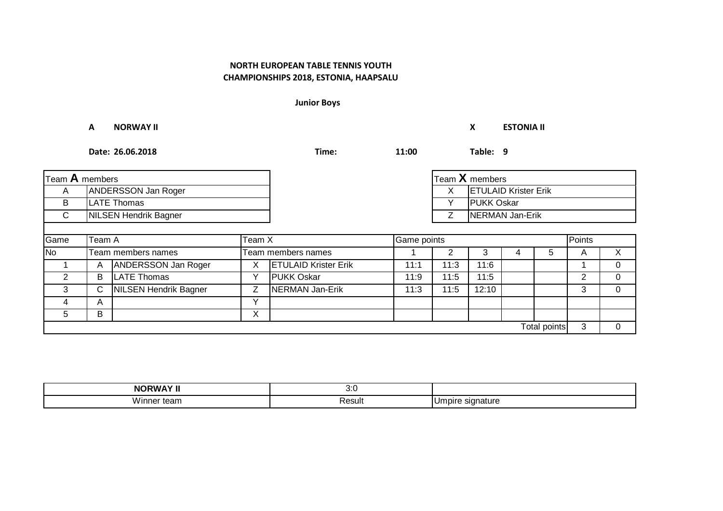**Junior Boys**

**A NORWAY II X ESTONIA II**

| Team A members |                              |                            |              |                             |             |      | Team X members              |   |              |        |    |
|----------------|------------------------------|----------------------------|--------------|-----------------------------|-------------|------|-----------------------------|---|--------------|--------|----|
| A              |                              | ANDERSSON Jan Roger        |              |                             |             | X    | <b>ETULAID Krister Erik</b> |   |              |        |    |
| B              | <b>LATE Thomas</b>           |                            |              |                             |             |      | <b>PUKK Oskar</b>           |   |              |        |    |
| $\mathsf{C}$   | <b>NILSEN Hendrik Bagner</b> |                            |              |                             |             | Ζ    | <b>NERMAN Jan-Erik</b>      |   |              |        |    |
|                |                              |                            |              |                             |             |      |                             |   |              |        |    |
| Game           | Team A<br>Team X             |                            |              |                             | Game points |      |                             |   |              | Points |    |
| <b>No</b>      |                              | Team members names         |              | Team members names          |             |      | 3                           | 4 | 5            | A      | X. |
|                | A                            | <b>ANDERSSON Jan Roger</b> | X            | <b>ETULAID Krister Erik</b> | 11:1        | 11:3 | 11:6                        |   |              |        | 0  |
| $\overline{2}$ | B                            | <b>LATE Thomas</b>         | $\checkmark$ | <b>PUKK Oskar</b>           | 11:9        | 11:5 | 11:5                        |   |              | 2      | 0  |
| 3              | С                            | NILSEN Hendrik Bagner      | Ζ            | <b>NERMAN Jan-Erik</b>      | 11:3        | 11:5 | 12:10                       |   |              | 3      | 0  |
| 4              | A                            |                            | $\checkmark$ |                             |             |      |                             |   |              |        |    |
| 5              | B                            |                            | Χ            |                             |             |      |                             |   |              |        |    |
|                |                              |                            |              |                             |             |      |                             |   | Total points | 3      | 0  |

| _ _ _ _ _ _ _ _            | v.J    |                       |
|----------------------------|--------|-----------------------|
| <br>. .<br>winne<br>.call' | Result | ıatur<br>-<br>$\cdot$ |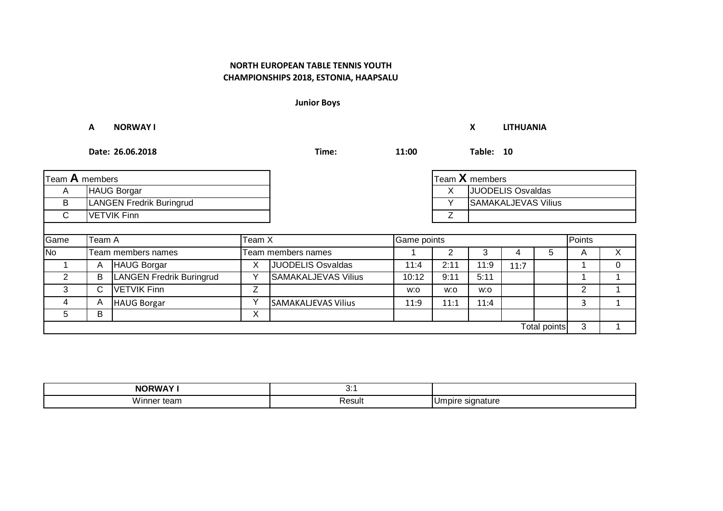**Junior Boys**

**A NORWAY I X LITHUANIA**

| Team A members |                          |                          |   |                     |       | Team X members |                     |      |              |   |   |
|----------------|--------------------------|--------------------------|---|---------------------|-------|----------------|---------------------|------|--------------|---|---|
| A              | <b>HAUG Borgar</b>       |                          |   |                     |       | х              | JUODELIS Osvaldas   |      |              |   |   |
| B              | LANGEN Fredrik Buringrud |                          |   |                     |       |                | SAMAKALJEVAS Vilius |      |              |   |   |
| $\mathsf{C}$   |                          | <b>VETVIK Finn</b>       |   |                     |       |                |                     |      |              |   |   |
|                |                          |                          |   |                     |       |                |                     |      |              |   |   |
| Game           | Team X<br>Team A         |                          |   | Game points         |       | Points         |                     |      |              |   |   |
| <b>No</b>      |                          | Team members names       |   | Team members names  |       |                |                     |      | 5.           | A |   |
|                | A                        | <b>HAUG Borgar</b>       | Χ | JUODELIS Osvaldas   | 11:4  | 2:11           | 11:9                | 11:7 |              |   | 0 |
| 2              | В                        | LANGEN Fredrik Buringrud |   | SAMAKALJEVAS Vilius | 10:12 | 9:11           | 5:11                |      |              |   |   |
| 3              | C.                       | <b>VETVIK Finn</b>       | Z |                     | w:o   | w:o            | w:o                 |      |              | 2 |   |
| 4              | A                        | <b>HAUG Borgar</b>       |   | SAMAKALJEVAS Vilius | 11:9  | 11:1           | 11:4                |      |              | 3 |   |
| 5              | В                        |                          | Χ |                     |       |                |                     |      |              |   |   |
|                |                          |                          |   |                     |       |                |                     |      | Total points | 3 |   |

| <b>NODIALAND</b>        | v.          |               |
|-------------------------|-------------|---------------|
| <br>VII<br>ισαιι<br>. . | _<br>Resul. | าatur<br>זומו |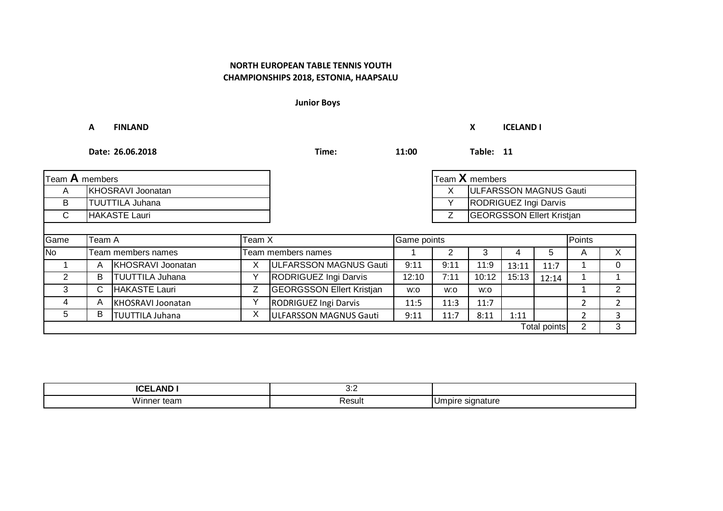**Junior Boys**

**A FINLAND X ICELAND I**

| Team A members           |                        |                        |   |                                  |       | Team X members |                                  |       |              |   |                |
|--------------------------|------------------------|------------------------|---|----------------------------------|-------|----------------|----------------------------------|-------|--------------|---|----------------|
| A                        | KHOSRAVI Joonatan      |                        |   |                                  |       | X              | ULFARSSON MAGNUS Gauti           |       |              |   |                |
| B.                       | <b>TUUTTILA Juhana</b> |                        |   |                                  |       |                | RODRIGUEZ Ingi Darvis            |       |              |   |                |
| $\mathsf{C}$             |                        | HAKASTE Lauri          |   |                                  |       |                | <b>GEORGSSON Ellert Kristjan</b> |       |              |   |                |
|                          |                        |                        |   |                                  |       |                |                                  |       |              |   |                |
| Game<br>Team X<br>Team A |                        |                        |   | Game points                      |       | Points         |                                  |       |              |   |                |
| No                       |                        | Team members names     |   | Team members names               |       |                | 3                                | 4     | 5            | A | X              |
|                          | А                      | KHOSRAVI Joonatan      | х | ULFARSSON MAGNUS Gauti           | 9:11  | 9:11           | 11:9                             | 13:11 | 11:7         |   | 0              |
| 2                        | B                      | <b>TUUTTILA Juhana</b> |   | RODRIGUEZ Ingi Darvis            | 12:10 | 7:11           | 10:12                            | 15:13 | 12:14        |   |                |
| 3                        | C.                     | HAKASTE Lauri          | Z | <b>GEORGSSON Ellert Kristjan</b> | W.O   | w:o            | w:o                              |       |              |   | 2              |
| 4                        | A                      | KHOSRAVI Joonatan      |   | <b>RODRIGUEZ Ingi Darvis</b>     | 11:5  | 11:3           | 11:7                             |       |              | 2 | $\overline{2}$ |
| 5                        | B                      | <b>TUUTTILA Juhana</b> | Х | ULFARSSON MAGNUS Gauti           | 9:11  | 11:7           | 8:11                             | 1:11  |              | 2 | 3              |
|                          |                        |                        |   |                                  |       |                |                                  |       | Total points | 2 | 3              |

| $\sim$ $\sim$ $\sim$<br>I<br>AN<br>ישו<br>יי | .<br>ັບ.⊾   |               |
|----------------------------------------------|-------------|---------------|
| <br>VII<br>ισαιι<br>. .                      | _<br>Resul. | าatur<br>זומו |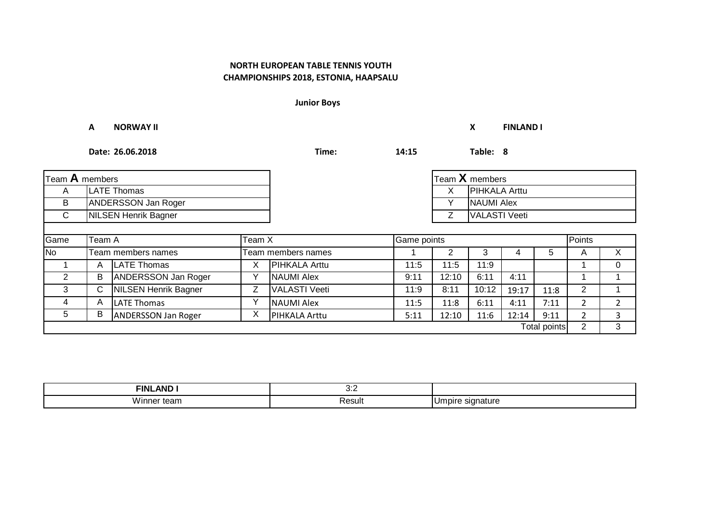**Junior Boys**

**A NORWAY II X FINLAND I Date: 26.06.2018 Time: 14:15 Table: 8** A LATE Thomas X B | ANDERSSON Jan Roger | NAUMI Alex | NAUMI Alex | NAUMI Alex | NAUMI Alex | NAUMI Alex C Z NILSEN Henrik Bagner VALASTI Veeti Game No 1 2 3 4 5 A X Team members names Team members names 1 | A |LATE Thomas | X |PIHKALA Arttu | 11:5 | 11:5 | 11:9 | | | 1 | 0 2 | B |ANDERSSON Jan Roger | Y |NAUMI Alex | 9:11 | 12:10 | 6:11 | 4:11 | | 1 | 1 3 C | NILSEN Henrik Bagner | Z | VALASTI Veeti | 11:9 | 8:11 | 10:12 | 19:17 | 11:8 | 2 | 1 4 | A |LATE Thomas | Y |NAUMI Alex | 11:5 | 11:8 | 6:11 | 4:11 | 7:11 | 2 | 2 5 | B |ANDERSSON Jan Roger | X |PIHKALA Arttu | 5:11 | 12:10 | 11:6 | 12:14 | 9:11 | 2 | 3  $2 \mid 3$ Team **A** members Team **X** members **PIHKALA Arttu** Team A Team X Game points Points A LATE Thomas X PIHKALA Arttu A LATE Thomas  $\begin{array}{|c|c|c|c|c|}\n\hline\nA & A & B & B & C & D \hline\n\end{array}$ Total points

| <b>AND</b><br><b>FINI</b> | ◡.∠    |                |
|---------------------------|--------|----------------|
| <br>τean<br>winne         | Result | าatur<br>siana |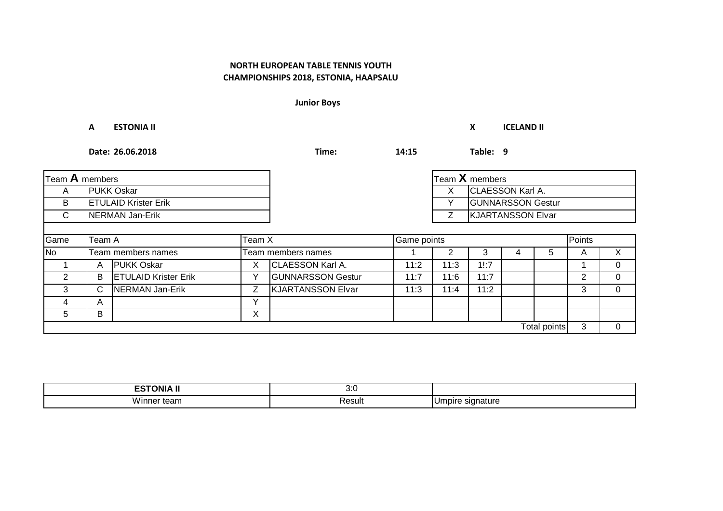**Junior Boys**

**A ESTONIA II X ICELAND II**

| Team A members |                             |                             |   |                               |      |      | $\mathsf{T}$ eam $\mathsf{X}$ members |   |              |   |          |
|----------------|-----------------------------|-----------------------------|---|-------------------------------|------|------|---------------------------------------|---|--------------|---|----------|
| A              | <b>PUKK Oskar</b>           |                             |   |                               |      | х    | <b>CLAESSON Karl A.</b>               |   |              |   |          |
| B              | <b>ETULAID Krister Erik</b> |                             |   |                               |      | v    | <b>GUNNARSSON Gestur</b>              |   |              |   |          |
| $\mathsf{C}$   | NERMAN Jan-Erik             |                             |   | <b>KJARTANSSON Elvar</b><br>7 |      |      |                                       |   |              |   |          |
|                |                             |                             |   |                               |      |      |                                       |   |              |   |          |
| Game           | Team X<br>Team A            |                             |   | Game points                   |      |      | Points                                |   |              |   |          |
| <b>No</b>      |                             | Team members names          |   | Team members names            |      | 2    | 3                                     | 4 | 5            | A | X        |
|                | A                           | <b>PUKK Oskar</b>           | X | <b>CLAESSON Karl A.</b>       | 11:2 | 11:3 | 1!:7                                  |   |              |   | 0        |
| 2              | В                           | <b>ETULAID Krister Erik</b> |   | <b>GUNNARSSON Gestur</b>      | 11:7 | 11:6 | 11:7                                  |   |              | 2 | $\Omega$ |
| 3              | C.                          | NERMAN Jan-Erik             | Z | <b>KJARTANSSON Elvar</b>      | 11:3 | 11:4 | 11:2                                  |   |              | 3 | $\Omega$ |
| 4              | A                           |                             | v |                               |      |      |                                       |   |              |   |          |
| 5              | В                           |                             | Х |                               |      |      |                                       |   |              |   |          |
|                |                             |                             |   |                               |      |      |                                       |   | Total points | 3 | $\Omega$ |

| <b>ESTONIA II</b><br>. . | v.v    |                             |
|--------------------------|--------|-----------------------------|
| <br>Winner<br>tean       | Result | -signature<br><b>Umpire</b> |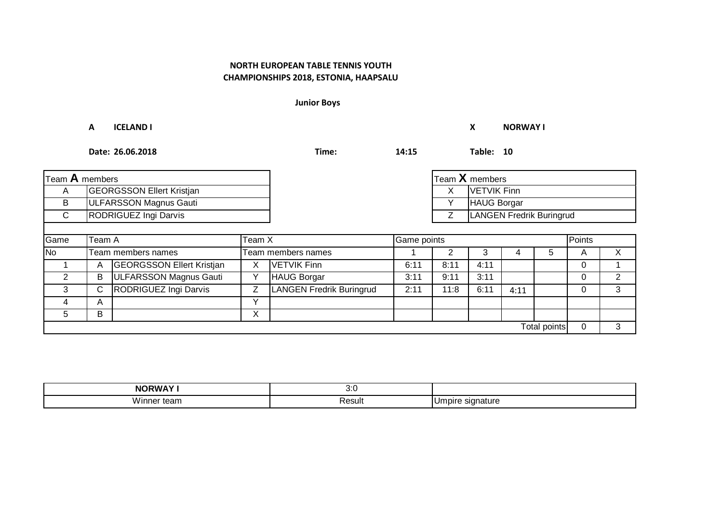**Junior Boys**

**A ICELAND I X NORWAY I**

| Team A members           |                                  |                                  |              |                          |        | Team $X$ members         |                    |      |                     |   |                |
|--------------------------|----------------------------------|----------------------------------|--------------|--------------------------|--------|--------------------------|--------------------|------|---------------------|---|----------------|
| A                        | <b>GEORGSSON Ellert Kristjan</b> |                                  |              |                          |        | X                        | <b>VETVIK Finn</b> |      |                     |   |                |
| B                        | <b>ULFARSSON Magnus Gauti</b>    |                                  |              |                          |        |                          | HAUG Borgar        |      |                     |   |                |
| $\mathsf{C}$             | RODRIGUEZ Ingi Darvis            |                                  |              |                          |        | LANGEN Fredrik Buringrud |                    |      |                     |   |                |
|                          |                                  |                                  |              |                          |        |                          |                    |      |                     |   |                |
| Game<br>Team A<br>Team X |                                  |                                  |              | Game points              | Points |                          |                    |      |                     |   |                |
| <b>No</b>                |                                  | Team members names               |              | Team members names       |        |                          | 3                  |      | 5.                  | A | X              |
|                          | Α                                | <b>GEORGSSON Ellert Kristjan</b> | Х            | <b>VETVIK Finn</b>       | 6:11   | 8:11                     | 4:11               |      |                     | 0 |                |
| 2                        | B                                | ULFARSSON Magnus Gauti           | ν            | <b>HAUG Borgar</b>       | 3:11   | 9:11                     | 3:11               |      |                     | 0 | $\overline{2}$ |
| 3                        | C.                               | RODRIGUEZ Ingi Darvis            | Z            | LANGEN Fredrik Buringrud | 2:11   | 11:8                     | 6:11               | 4:11 |                     | 0 | 3              |
| 4                        | A                                |                                  | $\checkmark$ |                          |        |                          |                    |      |                     |   |                |
| 5                        | В                                |                                  | X            |                          |        |                          |                    |      |                     |   |                |
|                          |                                  |                                  |              |                          |        |                          |                    |      | <b>Total points</b> | 0 | 3              |

| <b>NORWAY!</b> | .<br>v.J    |                                        |
|----------------|-------------|----------------------------------------|
| <br>.<br>.     | _<br>Resul. | u m<br>าature<br>'''''<br>ັ<br>$\cdot$ |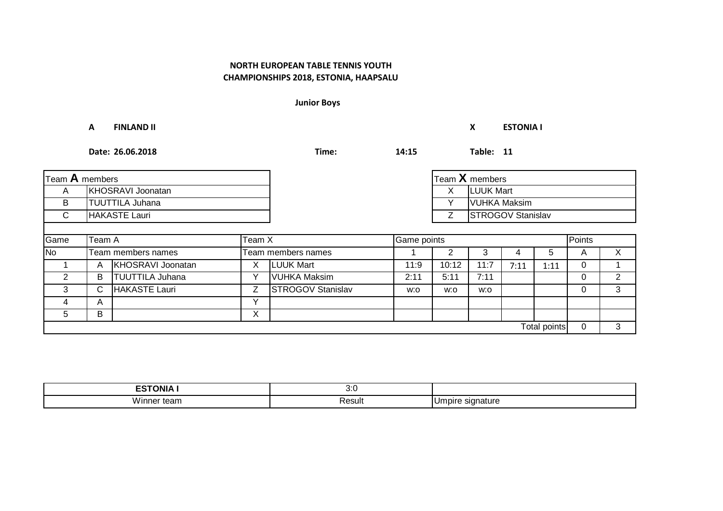**Junior Boys**

**A FINLAND II X ESTONIA I**

| Team A members |                   |                        |   |                          | Team X members                |       |                     |        |                     |   |   |
|----------------|-------------------|------------------------|---|--------------------------|-------------------------------|-------|---------------------|--------|---------------------|---|---|
| A              | KHOSRAVI Joonatan |                        |   |                          |                               | X     | <b>LUUK Mart</b>    |        |                     |   |   |
| B              |                   | <b>TUUTTILA Juhana</b> |   |                          |                               |       | <b>VUHKA Maksim</b> |        |                     |   |   |
| $\mathsf{C}$   |                   | <b>HAKASTE Lauri</b>   |   |                          | <b>STROGOV Stanislav</b><br>Ζ |       |                     |        |                     |   |   |
|                |                   |                        |   |                          |                               |       |                     |        |                     |   |   |
| Game           | Team X<br>Team A  |                        |   |                          | Game points                   |       |                     | Points |                     |   |   |
| <b>No</b>      |                   | Team members names     |   | Team members names       |                               | 2     | 3                   | 4      | $^{\circ}$          | A | X |
|                | A                 | KHOSRAVI Joonatan      | Χ | <b>LUUK Mart</b>         | 11:9                          | 10:12 | 11:7                | 7:11   | 1:11                | 0 |   |
| $\overline{2}$ | В                 | <b>TUUTTILA Juhana</b> | ν | <b>VUHKA Maksim</b>      | 2:11                          | 5:11  | 7:11                |        |                     | 0 | 2 |
| 3              | C.                | HAKASTE Lauri          | Z | <b>STROGOV Stanislav</b> | w:o                           | w:o   | w:o                 |        |                     | 0 | 3 |
| 4              | A                 |                        | Y |                          |                               |       |                     |        |                     |   |   |
| 5              | В                 |                        | X |                          |                               |       |                     |        |                     |   |   |
|                |                   |                        |   |                          |                               |       |                     |        | <b>Total points</b> | 0 | 3 |

| --------<br>ווחר | , ,<br>v.J  |                                        |
|------------------|-------------|----------------------------------------|
| <br>501<br>.     | _<br>Resul. | ۱ľ۲<br>าature<br>'''''<br>ັ<br>$\cdot$ |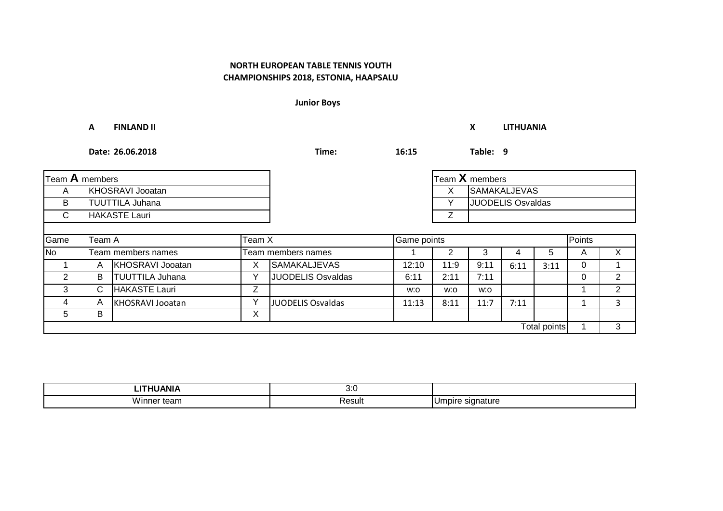**Junior Boys**

**A FINLAND II X LITHUANIA**

| Team A members           |                        |                        |             |                          |        | Team X members           |                          |      |              |   |   |
|--------------------------|------------------------|------------------------|-------------|--------------------------|--------|--------------------------|--------------------------|------|--------------|---|---|
| A                        |                        | KHOSRAVI Jooatan       |             |                          |        | <b>SAMAKALJEVAS</b><br>X |                          |      |              |   |   |
| B                        | <b>TUUTTILA Juhana</b> |                        |             |                          |        |                          | <b>JUODELIS Osvaldas</b> |      |              |   |   |
| $\mathsf{C}$             | HAKASTE Lauri          |                        |             |                          | Z      |                          |                          |      |              |   |   |
|                          |                        |                        |             |                          |        |                          |                          |      |              |   |   |
| Game<br>Team X<br>Team A |                        |                        |             | Game points              | Points |                          |                          |      |              |   |   |
| <b>No</b>                |                        | Team members names     |             | Team members names       |        |                          | 3                        | 4    | $\mathbf b$  | A | X |
|                          | A                      | KHOSRAVI Jooatan       | Х           | <b>SAMAKALJEVAS</b>      | 12:10  | 11:9                     | 9:11                     | 6:11 | 3:11         | 0 |   |
| 2                        | В                      | <b>TUUTTILA Juhana</b> |             | <b>JUODELIS Osvaldas</b> | 6:11   | 2:11                     | 7:11                     |      |              | 0 | 2 |
| 3                        | С                      | HAKASTE Lauri          | Ζ           |                          | w:o    | w:o                      | w:o                      |      |              |   | 2 |
| 4                        | A                      | KHOSRAVI Jooatan       | $\check{ }$ | JUODELIS Osvaldas        | 11:13  | 8:11                     | 11:7                     | 7:11 |              |   | 3 |
| 5                        | B                      |                        | X           |                          |        |                          |                          |      |              |   |   |
|                          |                        |                        |             |                          |        |                          |                          |      | Total points |   | 3 |

| .           | , ,<br>v.J  |                       |
|-------------|-------------|-----------------------|
| <br>са<br>. | _<br>Resul. | าature<br><br>$\cdot$ |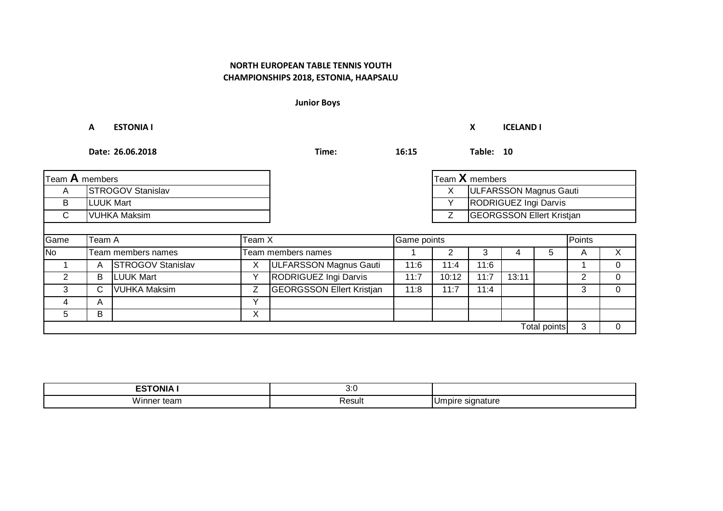**Junior Boys**

**A ESTONIA I X ICELAND I**

| Team A members |                  |                          |              |                                  |      | $\mathsf{T}$ eam $\mathsf{X}$ members |                        |       |                     |   |          |
|----------------|------------------|--------------------------|--------------|----------------------------------|------|---------------------------------------|------------------------|-------|---------------------|---|----------|
| A              |                  | <b>STROGOV Stanislav</b> |              |                                  |      | X.                                    | ULFARSSON Magnus Gauti |       |                     |   |          |
| B              | <b>LUUK Mart</b> |                          |              | RODRIGUEZ Ingi Darvis            |      |                                       |                        |       |                     |   |          |
| $\mathsf{C}$   | VUHKA Maksim     |                          |              |                                  | Ζ    | <b>GEORGSSON Ellert Kristjan</b>      |                        |       |                     |   |          |
|                |                  |                          |              |                                  |      |                                       |                        |       |                     |   |          |
| Game           | Team A<br>Team X |                          |              | Points<br>Game points            |      |                                       |                        |       |                     |   |          |
| $\overline{N}$ |                  | Team members names       |              | Team members names               |      |                                       | 3                      |       | b.                  | A | X.       |
|                | А                | STROGOV Stanislav        | ⋏            | <b>ULFARSSON Magnus Gauti</b>    | 11:6 | 11:4                                  | 11:6                   |       |                     |   | $\Omega$ |
| $\overline{2}$ | B                | <b>LUUK Mart</b>         |              | RODRIGUEZ Ingi Darvis            | 11:7 | 10:12                                 | 11:7                   | 13:11 |                     | 2 | $\Omega$ |
| 3              | C.               | <b>VUHKA Maksim</b>      | Z            | <b>GEORGSSON Ellert Kristjan</b> | 11:8 | 11:7                                  | 11:4                   |       |                     | 3 | $\Omega$ |
| 4              | A                |                          | $\checkmark$ |                                  |      |                                       |                        |       |                     |   |          |
| 5              | B                |                          | Х            |                                  |      |                                       |                        |       |                     |   |          |
|                |                  |                          |              |                                  |      |                                       |                        |       | <b>Total points</b> | 3 | 0        |

| <b>ESTONIA I</b><br>ື່     | s.,<br>v.v |                        |
|----------------------------|------------|------------------------|
| <b>M/i</b><br>.√inner team | Result     | : signature<br>IUmpire |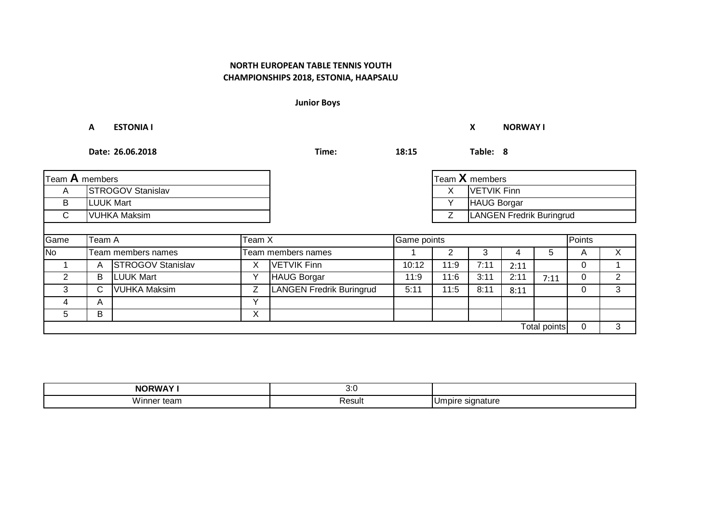**Junior Boys**

**A ESTONIA I X NORWAY I**

| Team A members |                          |                          |   |                                 |                               |      | Team X members     |      |              |        |    |
|----------------|--------------------------|--------------------------|---|---------------------------------|-------------------------------|------|--------------------|------|--------------|--------|----|
| A              | <b>STROGOV Stanislav</b> |                          |   |                                 |                               | X    | <b>VETVIK Finn</b> |      |              |        |    |
| B              | <b>LUUK Mart</b>         |                          |   |                                 | HAUG Borgar<br>v              |      |                    |      |              |        |    |
| C              | <b>VUHKA Maksim</b>      |                          |   |                                 | LANGEN Fredrik Buringrud<br>Z |      |                    |      |              |        |    |
|                |                          |                          |   |                                 |                               |      |                    |      |              |        |    |
| Game           | Team A<br>Team X         |                          |   |                                 | Game points                   |      |                    |      |              | Points |    |
| <b>No</b>      |                          | Team members names       |   | Team members names              |                               |      | 3                  |      | 5            | A      | X. |
|                | Α                        | <b>STROGOV Stanislav</b> | Χ | VETVIK Finn                     | 10:12                         | 11:9 | 7:11               | 2:11 |              | 0      |    |
| 2              | В                        | <b>LUUK Mart</b>         | ν | <b>HAUG Borgar</b>              | 11:9                          | 11:6 | 3:11               | 2:11 | 7:11         | 0      | 2  |
| 3              | С                        | <b>VUHKA Maksim</b>      | Z | <b>LANGEN Fredrik Buringrud</b> | 5:11                          | 11:5 | 8:11               | 8:11 |              | 0      | 3  |
| 4              | A                        |                          | Y |                                 |                               |      |                    |      |              |        |    |
| 5              | В                        |                          | X |                                 |                               |      |                    |      |              |        |    |
|                |                          |                          |   |                                 |                               |      |                    |      | Total points | 0      | 3  |

| <b>NORWAY!</b> | .<br>v.J    |                                        |
|----------------|-------------|----------------------------------------|
| <br>.<br>.     | _<br>Resul. | u m<br>าature<br>'''''<br>ັ<br>$\cdot$ |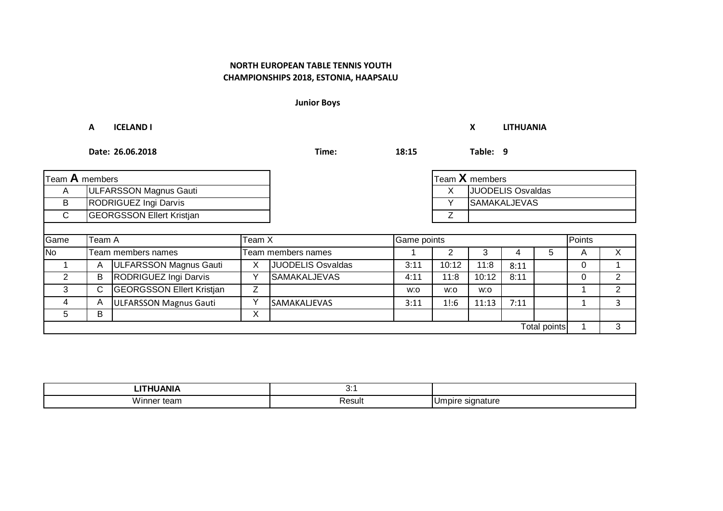**Junior Boys**

#### **A ICELAND I X LITHUANIA**

| Team A members |                                  |                                  |              |                     |             | Team X members |                          |      |              |   |        |  |
|----------------|----------------------------------|----------------------------------|--------------|---------------------|-------------|----------------|--------------------------|------|--------------|---|--------|--|
| A              |                                  | ULFARSSON Magnus Gauti           |              |                     |             | х              | <b>JUODELIS Osvaldas</b> |      |              |   |        |  |
| B              | RODRIGUEZ Ingi Darvis            |                                  |              |                     |             | v              | <b>SAMAKALJEVAS</b>      |      |              |   |        |  |
| $\mathsf{C}$   | <b>GEORGSSON Ellert Kristjan</b> |                                  |              |                     |             |                |                          |      |              |   |        |  |
|                |                                  |                                  |              |                     |             |                |                          |      |              |   |        |  |
| Game           | Team A<br>Team X                 |                                  |              |                     | Game points |                |                          |      |              |   | Points |  |
| No             |                                  | Team members names               |              | Team members names  |             |                | 3                        |      | 5.           | A | X      |  |
|                | A                                | <b>ULFARSSON Magnus Gauti</b>    | Χ            | JUODELIS Osvaldas   | 3:11        | 10:12          | 11:8                     | 8:11 |              | 0 |        |  |
| $\overline{2}$ | В                                | RODRIGUEZ Ingi Darvis            |              | <b>SAMAKALJEVAS</b> | 4:11        | 11:8           | 10:12                    | 8:11 |              | 0 | 2      |  |
| 3              | C.                               | <b>GEORGSSON Ellert Kristjan</b> | Z            |                     | w:o         | w:o            | w:o                      |      |              |   | 2      |  |
| 4              | A                                | <b>ULFARSSON Magnus Gauti</b>    | $\checkmark$ | <b>SAMAKALJEVAS</b> | 3:11        | 1!:6           | 11:13                    | 7:11 |              |   | 3      |  |
| 5              | B                                |                                  | Χ            |                     |             |                |                          |      |              |   |        |  |
|                |                                  |                                  |              |                     |             |                |                          |      | Total points |   | 3      |  |

| LITHUANIA          | v.     |                        |
|--------------------|--------|------------------------|
| \A/i<br>inner team | Result | : signature<br>IUmpire |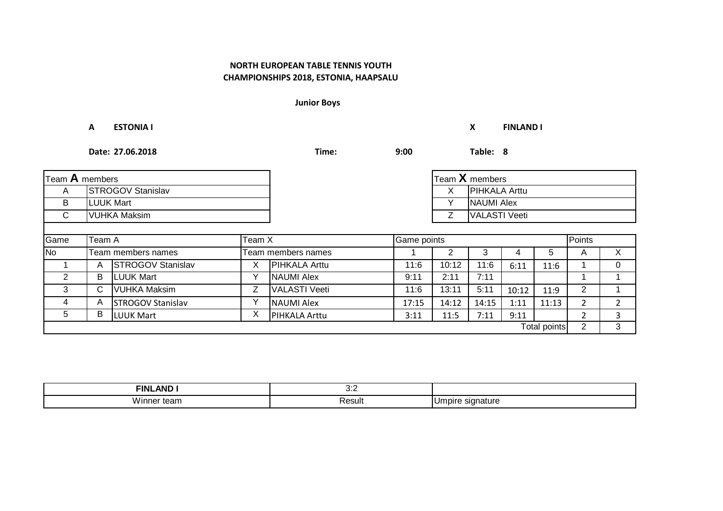**Junior Boys**

|                | <b>ESTONIA I</b><br>A    |                          |        |                      |             |                | X                    | <b>FINLAND I</b> |                     |                |                |
|----------------|--------------------------|--------------------------|--------|----------------------|-------------|----------------|----------------------|------------------|---------------------|----------------|----------------|
|                |                          | Date: 27.06.2018         |        | Time:                | 9:00        |                | Table: 8             |                  |                     |                |                |
| Team A members |                          |                          |        |                      |             |                | Team $X$ members     |                  |                     |                |                |
| A              | <b>STROGOV Stanislav</b> |                          |        |                      |             | X              | <b>PIHKALA Arttu</b> |                  |                     |                |                |
| B              | <b>LUUK Mart</b>         |                          |        |                      |             | Υ              | <b>NAUMI Alex</b>    |                  |                     |                |                |
| C.             |                          | <b>VUHKA Maksim</b>      |        |                      |             | Z              | <b>VALASTI Veeti</b> |                  |                     |                |                |
| Game           | Team A                   |                          | Team X |                      |             |                |                      |                  |                     | Points         |                |
|                |                          |                          |        |                      | Game points |                |                      |                  |                     |                |                |
| <b>No</b>      |                          | Team members names       |        | Team members names   |             | $\overline{2}$ | 3                    | 4                | 5                   | A              | $\times$       |
|                | A                        | <b>STROGOV Stanislav</b> | X.     | PIHKALA Arttu        | 11:6        | 10:12          | 11:6                 | 6:11             | 11:6                |                | $\Omega$       |
| $\overline{2}$ | B                        | <b>LUUK Mart</b>         | ⋎      | <b>NAUMI Alex</b>    | 9:11        | 2:11           | 7:11                 |                  |                     |                |                |
| 3              | C                        | <b>VUHKA Maksim</b>      | Z      | <b>VALASTI Veeti</b> | 11:6        | 13:11          | 5:11                 | 10:12            | 11:9                | 2              |                |
| 4              | A                        | <b>STROGOV Stanislav</b> | Y      | <b>NAUMI Alex</b>    | 17:15       | 14:12          | 14:15                | 1:11             | 11:13               | $\overline{2}$ | $\overline{2}$ |
| 5              | В                        | <b>LUUK Mart</b>         | X      | PIHKALA Arttu        | 3:11        | 11:5           | 7:11                 | 9:11             |                     | $\overline{2}$ | 3              |
|                |                          |                          |        |                      |             |                |                      |                  | <b>Total points</b> | $\overline{2}$ | 3              |

| $\sim$ $\sim$ $\sim$<br>FINL<br>ANL | .<br>ັບ. |                                 |
|-------------------------------------|----------|---------------------------------|
| .<br>៸៸៸៲<br>теап                   | Resul    | natur<br>ווסר<br>. .<br>$\cdot$ |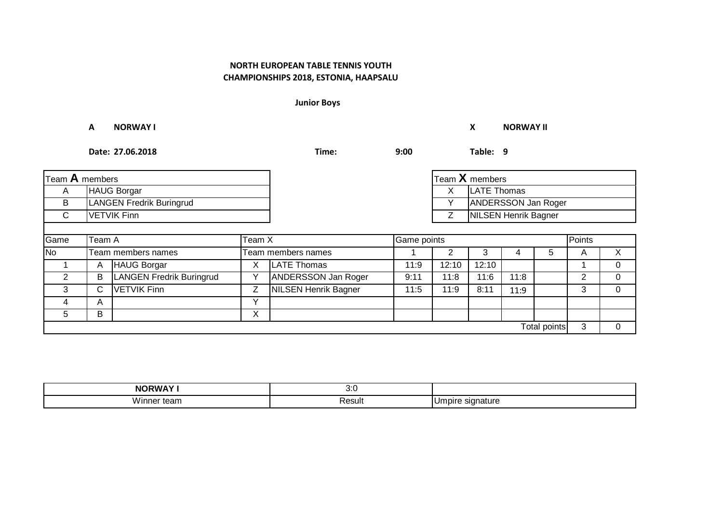**Junior Boys**

**A NORWAY I X NORWAY II**

| Team A members |                                 |                                 |              |                             |              | Team X members              |             |      |              |   |   |
|----------------|---------------------------------|---------------------------------|--------------|-----------------------------|--------------|-----------------------------|-------------|------|--------------|---|---|
| A              | HAUG Borgar                     |                                 |              |                             |              | X                           | LATE Thomas |      |              |   |   |
| B              | <b>LANGEN Fredrik Buringrud</b> |                                 |              |                             | $\checkmark$ | ANDERSSON Jan Roger         |             |      |              |   |   |
| $\mathsf{C}$   | <b>VETVIK Finn</b>              |                                 |              |                             |              | <b>NILSEN Henrik Bagner</b> |             |      |              |   |   |
|                |                                 |                                 |              |                             |              |                             |             |      |              |   |   |
| Game           | Team X<br>Team A                |                                 |              | Game points                 |              | Points                      |             |      |              |   |   |
| N <sub>o</sub> |                                 | Team members names              |              | Team members names          |              |                             | 3           | 4    | 5            | A | X |
|                | A                               | HAUG Borgar                     | Χ            | LATE Thomas                 | 11:9         | 12:10                       | 12:10       |      |              |   | 0 |
| $\overline{2}$ | B                               | <b>LANGEN Fredrik Buringrud</b> |              | <b>ANDERSSON Jan Roger</b>  | 9:11         | 11:8                        | 11:6        | 11:8 |              | 2 | 0 |
| 3              | C.                              | <b>VETVIK Finn</b>              | Z            | <b>NILSEN Henrik Bagner</b> | 11:5         | 11:9                        | 8:11        | 11:9 |              | 3 |   |
| 4              | A                               |                                 | $\checkmark$ |                             |              |                             |             |      |              |   |   |
| 5              | B                               |                                 | X            |                             |              |                             |             |      |              |   |   |
|                |                                 |                                 |              |                             |              |                             |             |      | Total points | 3 | 0 |

| <b>NORWAY'</b>  | າ.ເ<br>v.v |                                           |
|-----------------|------------|-------------------------------------------|
| <br>Ninner team | Result     | . .<br>signature<br><b>J</b> mpire<br>. ت |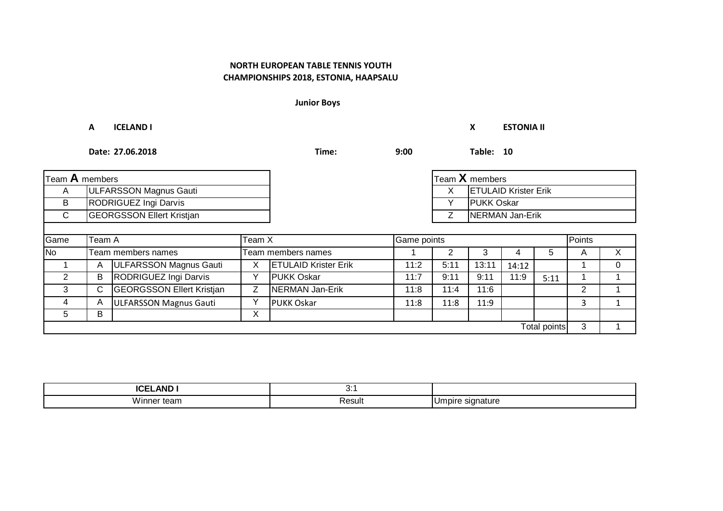**Junior Boys**

#### **A ICELAND I X ESTONIA II**

| Team A members |                                  |                                  |             |                             |             | Team X members     |                             |       |              |   |    |
|----------------|----------------------------------|----------------------------------|-------------|-----------------------------|-------------|--------------------|-----------------------------|-------|--------------|---|----|
| A              | ULFARSSON Magnus Gauti           |                                  |             |                             |             | X                  | <b>ETULAID Krister Erik</b> |       |              |   |    |
| В              | RODRIGUEZ Ingi Darvis            |                                  |             |                             |             | <b>IPUKK Oskar</b> |                             |       |              |   |    |
| C              | <b>GEORGSSON Ellert Kristjan</b> |                                  |             |                             |             | NERMAN Jan-Erik    |                             |       |              |   |    |
|                |                                  |                                  |             |                             |             |                    |                             |       |              |   |    |
| Game           | Team A<br>Team X                 |                                  |             |                             | Game points |                    | Points                      |       |              |   |    |
| $\overline{N}$ |                                  | Team members names               |             | Team members names          |             |                    | 3                           |       | $5^{\circ}$  | A | X. |
|                | A                                | ULFARSSON Magnus Gauti           | х           | <b>ETULAID Krister Erik</b> | 11:2        | 5:11               | 13:11                       | 14:12 |              |   | 0  |
| $\overline{2}$ | B                                | RODRIGUEZ Ingi Darvis            |             | <b>PUKK Oskar</b>           | 11:7        | 9:11               | 9:11                        | 11:9  | 5:11         |   |    |
| 3              | С                                | <b>GEORGSSON Ellert Kristjan</b> | Z           | NERMAN Jan-Erik             | 11:8        | 11:4               | 11:6                        |       |              | 2 |    |
| 4              | Α                                | ULFARSSON Magnus Gauti           | $\check{ }$ | <b>PUKK Oskar</b>           | 11:8        | 11:8               | 11:9                        |       |              | 3 |    |
| 5.             | В                                |                                  | Х           |                             |             |                    |                             |       |              |   |    |
|                |                                  |                                  |             |                             |             |                    |                             |       | Total points | 3 |    |

| <b>AND</b><br>ורבו<br>IVEL. | J.     |                        |
|-----------------------------|--------|------------------------|
| Winner team                 | Result | : signature<br>IUmpire |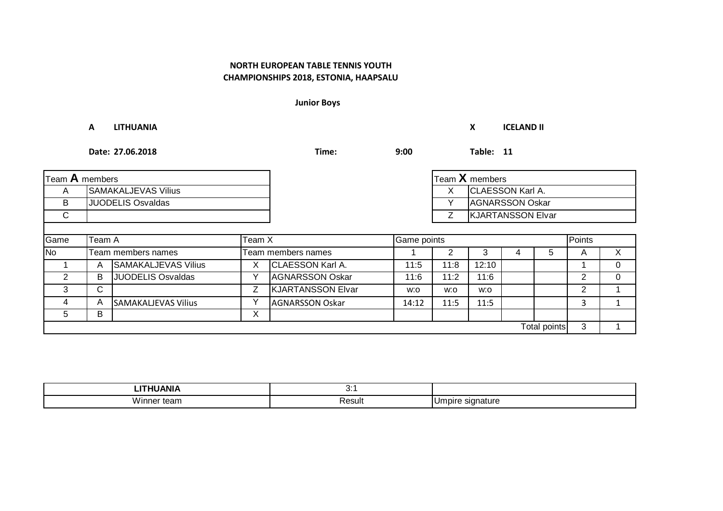**Junior Boys**

**A LITHUANIA X ICELAND II Date: 27.06.2018 Time: 9:00 Table: 11** A SAMAKALJEVAS Vilius CLAESSON Karl A. G. LAESSON Karl A. CLAESSON Karl A. B |JUODELIS Osvaldas | | Y |AGNARSSON Oskar C | Z Game No 1 2 3 4 5 A X Team members names Team members names 1 | A |SAMAKALJEVAS Vilius | X |CLAESSON Karl A. | 11:5 | 11:8 | 12:10 | | | 1 | 0 2 B JUODELIS Osvaldas Y AGNARSSON Oskar 11:6 11:2 11:6 11:2 0 3 C | | Z |KJARTANSSON Elvar | w:o | w:o | w:o | | | 2 | 1 4 | A |SAMAKALJEVAS Vilius | Y |AGNARSSON Oskar | 14:12 | 11:5 | 11:5 | | | 3 | 1 5 | B | X  $3 \mid 1$ **Team A** members Team **X** members Team **X** members KJARTANSSON Elvar Team A Team X Game points Points **JUODELIS Osvaldas**  $\overline{B}$ Total points

| .<br>ANI.              | . .<br>v. |     |
|------------------------|-----------|-----|
| <br>Vır<br>־ית<br>tean | Result    | nur |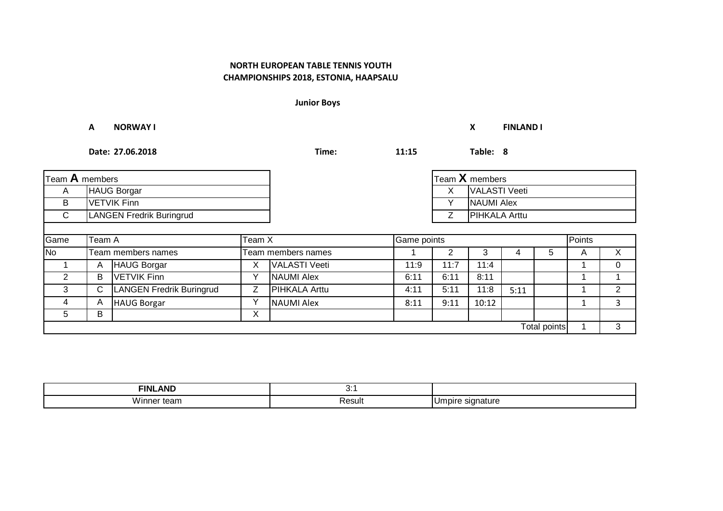**Junior Boys**

**A NORWAY I X FINLAND I**

| Team A members      |                                 |                                 |              |                      | $\mathsf{T}$ eam $\mathsf{X}$ members |                    |                      |        |   |   |          |
|---------------------|---------------------------------|---------------------------------|--------------|----------------------|---------------------------------------|--------------------|----------------------|--------|---|---|----------|
| A                   | <b>HAUG Borgar</b>              |                                 |              |                      |                                       | VALASTI Veeti<br>X |                      |        |   |   |          |
| B                   | <b>VETVIK Finn</b>              |                                 |              |                      |                                       |                    | NAUMI Alex           |        |   |   |          |
| $\mathsf{C}$        | <b>LANGEN Fredrik Buringrud</b> |                                 |              |                      |                                       | Z                  | <b>PIHKALA Arttu</b> |        |   |   |          |
|                     |                                 |                                 |              |                      |                                       |                    |                      |        |   |   |          |
| Game                | Team X<br>Team A                |                                 |              | Game points          |                                       |                    |                      | Points |   |   |          |
| <b>No</b>           |                                 | Team members names              |              | Team members names   |                                       | 2                  | 3                    | 4      | 5 | A | X        |
|                     | A                               | <b>HAUG Borgar</b>              | X            | VALASTI Veeti        | 11:9                                  | 11:7               | 11:4                 |        |   |   | $\Omega$ |
| $\overline{2}$      | В                               | <b>VETVIK Finn</b>              | ν            | <b>NAUMI Alex</b>    | 6:11                                  | 6:11               | 8:11                 |        |   |   |          |
| 3                   | С                               | <b>LANGEN Fredrik Buringrud</b> | Z            | <b>PIHKALA Arttu</b> | 4:11                                  | 5:11               | 11:8                 | 5:11   |   |   | 2        |
| 4                   | A                               | <b>HAUG Borgar</b>              | $\checkmark$ | <b>NAUMI Alex</b>    | 8:11                                  | 9:11               | 10:12                |        |   |   | 3        |
| 5                   | В                               |                                 | X            |                      |                                       |                    |                      |        |   |   |          |
| <b>Total points</b> |                                 |                                 |              |                      |                                       |                    |                      |        | 3 |   |          |

| <br><b>FINL</b><br>ANL | v.            |        |
|------------------------|---------------|--------|
| .                      | Result<br>~ ' | $\sim$ |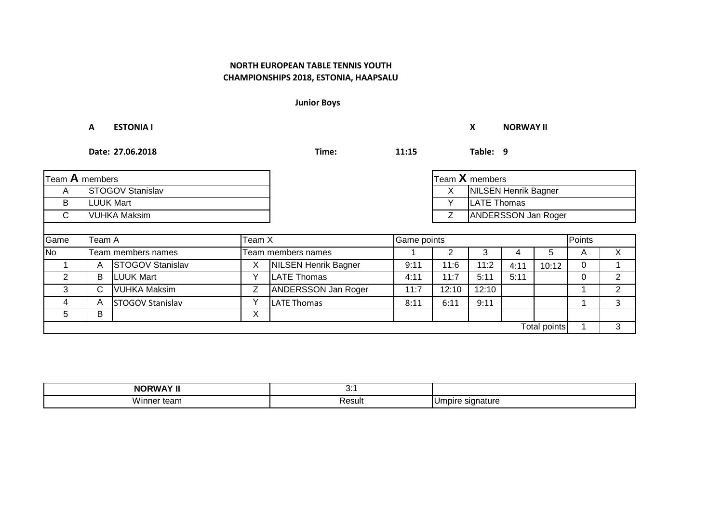# **CHAMPIONSHIPS 2018, ESTONIA, HAAPSALU NORTH EUROPEAN TABLE TENNIS YOUTH**

**Junior Boys**

**A ESTONIA I X NORWAY II**

| Team A members |                         |                         |                                 |                             | Team X members |                                  |                    |      |              |        |                |
|----------------|-------------------------|-------------------------|---------------------------------|-----------------------------|----------------|----------------------------------|--------------------|------|--------------|--------|----------------|
| A              | <b>STOGOV Stanislav</b> |                         |                                 |                             |                | <b>NILSEN Henrik Bagner</b><br>X |                    |      |              |        |                |
| B              | <b>LUUK Mart</b>        |                         |                                 |                             |                |                                  | <b>LATE Thomas</b> |      |              |        |                |
| C              | VUHKA Maksim            |                         | <b>ANDERSSON Jan Roger</b><br>Ζ |                             |                |                                  |                    |      |              |        |                |
|                |                         |                         |                                 |                             |                |                                  |                    |      |              |        |                |
| Game           | Team A<br>Team X        |                         |                                 |                             | Game points    |                                  |                    |      |              | Points |                |
| <b>No</b>      |                         | Team members names      |                                 | Team members names          |                |                                  | 3                  | 4    | 5            | A      | X              |
|                | A                       | <b>STOGOV Stanislav</b> | Х                               | <b>NILSEN Henrik Bagner</b> | 9:11           | 11:6                             | 11:2               | 4:11 | 10:12        | 0      |                |
| $\overline{2}$ | В                       | <b>LUUK Mart</b>        |                                 | <b>LATE Thomas</b>          | 4:11           | 11:7                             | 5:11               | 5:11 |              | 0      | $\overline{2}$ |
| 3              | C.                      | <b>VUHKA Maksim</b>     | Z                               | ANDERSSON Jan Roger         | 11:7           | 12:10                            | 12:10              |      |              |        | 2              |
| 4              | A                       | STOGOV Stanislav        | $\checkmark$                    | <b>LATE Thomas</b>          | 8:11           | 6:11                             | 9:11               |      |              |        | 3              |
| 5              | В                       |                         | Χ                               |                             |                |                                  |                    |      |              |        |                |
|                |                         |                         |                                 |                             |                |                                  |                    |      | Total points |        | 3              |

| <b>NORWAY II</b>   | v.     |                        |
|--------------------|--------|------------------------|
| \A/i<br>inner team | Result | : signature<br>IUmpire |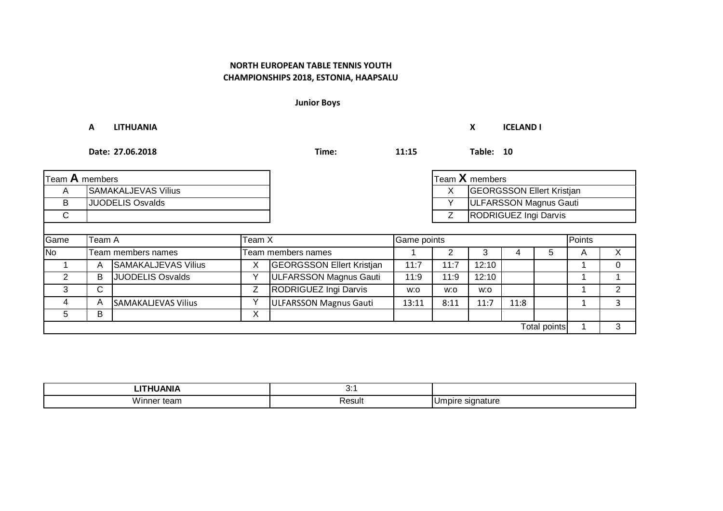**Junior Boys**

**A LITHUANIA X ICELAND I**

| Team A members |                            |                            |   |                                  |       |      | Team X members                   |      |              |        |   |
|----------------|----------------------------|----------------------------|---|----------------------------------|-------|------|----------------------------------|------|--------------|--------|---|
| A              | <b>SAMAKALJEVAS Vilius</b> |                            |   |                                  |       | ᄉ    | <b>GEORGSSON Ellert Kristjan</b> |      |              |        |   |
| B              | <b>JUODELIS Osvalds</b>    |                            |   |                                  |       | v    | ULFARSSON Magnus Gauti           |      |              |        |   |
| $\mathsf{C}$   |                            |                            |   |                                  |       | Z    | RODRIGUEZ Ingi Darvis            |      |              |        |   |
|                |                            |                            |   |                                  |       |      |                                  |      |              |        |   |
| Game           | Team A<br>Team X           |                            |   | Game points                      |       |      |                                  |      |              | Points |   |
| <b>No</b>      |                            | Team members names         |   | Team members names               |       |      | 3                                | 4    | 5            | A      | X |
|                | A                          | <b>SAMAKALJEVAS Vilius</b> | х | <b>GEORGSSON Ellert Kristjan</b> | 11:7  | 1:7  | 12:10                            |      |              |        |   |
| 2              | В                          | <b>JUODELIS Osvalds</b>    |   | ULFARSSON Magnus Gauti           | 11:9  | 11:9 | 12:10                            |      |              |        |   |
| 3              | С                          |                            | Ζ | RODRIGUEZ Ingi Darvis            | w:o   | w:o  | w:o                              |      |              |        |   |
| 4              | A                          | <b>SAMAKALJEVAS Vilius</b> |   | ULFARSSON Magnus Gauti           | 13:11 | 8:11 | 11:7                             | 11:8 |              |        |   |
| 5              | В                          |                            | X |                                  |       |      |                                  |      |              |        |   |
|                |                            |                            |   |                                  |       |      |                                  |      | Total points |        | 3 |

| .           | v.          |                                       |
|-------------|-------------|---------------------------------------|
| <br>са<br>. | _<br>Resul. | u۳<br>าature<br>'''''<br>ັ<br>$\cdot$ |